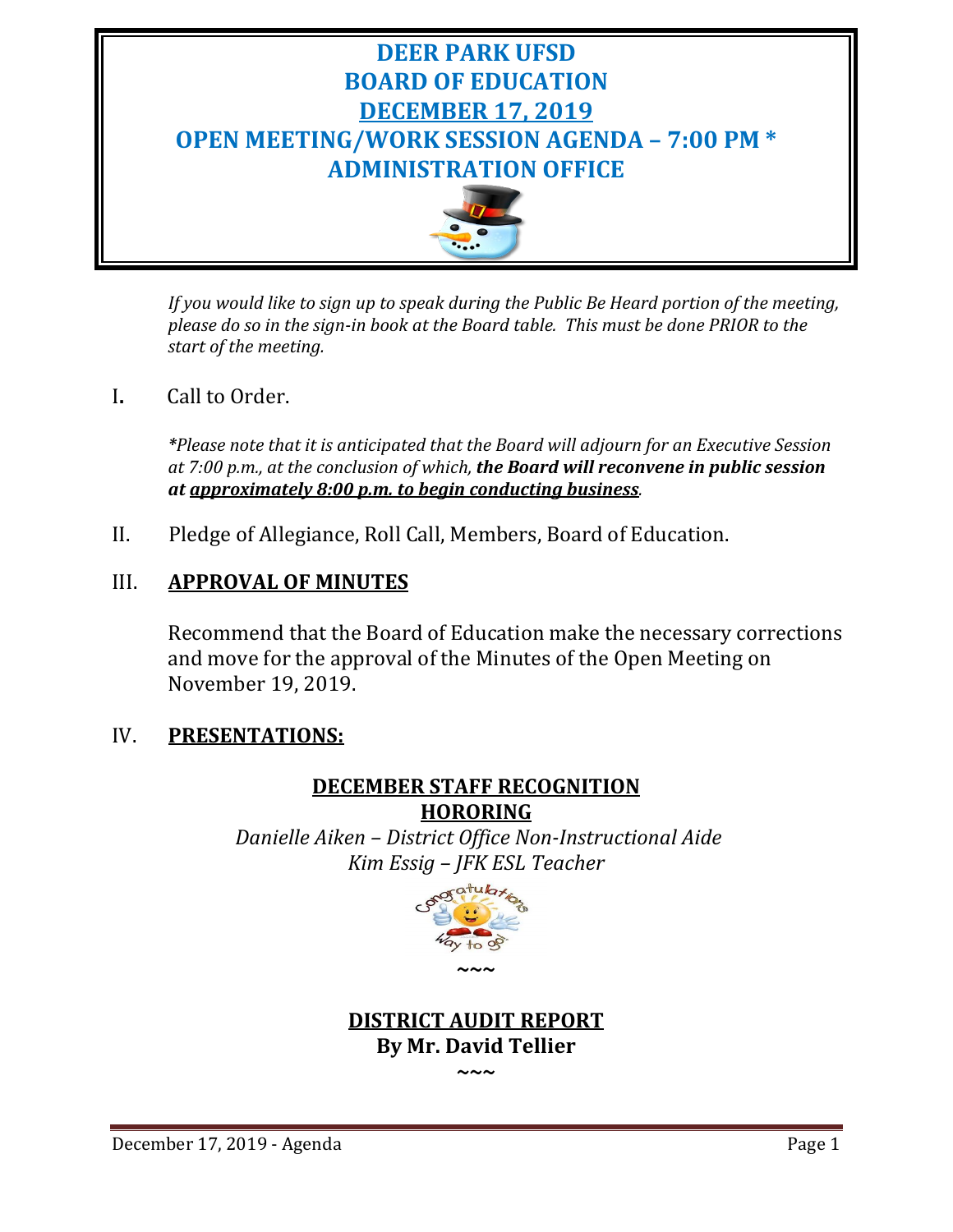

*If you would like to sign up to speak during the Public Be Heard portion of the meeting, please do so in the sign-in book at the Board table. This must be done PRIOR to the start of the meeting.* 

# I**.** Call to Order.

*\*Please note that it is anticipated that the Board will adjourn for an Executive Session at 7:00 p.m., at the conclusion of which, the Board will reconvene in public session at approximately 8:00 p.m. to begin conducting business.*

II. Pledge of Allegiance, Roll Call, Members, Board of Education.

# III. **APPROVAL OF MINUTES**

Recommend that the Board of Education make the necessary corrections and move for the approval of the Minutes of the Open Meeting on November 19, 2019.

# IV. **PRESENTATIONS:**

# **DECEMBER STAFF RECOGNITION HORORING**

*Danielle Aiken – District Office Non-Instructional Aide Kim Essig – JFK ESL Teacher*



# **DISTRICT AUDIT REPORT By Mr. David Tellier**

**~~~**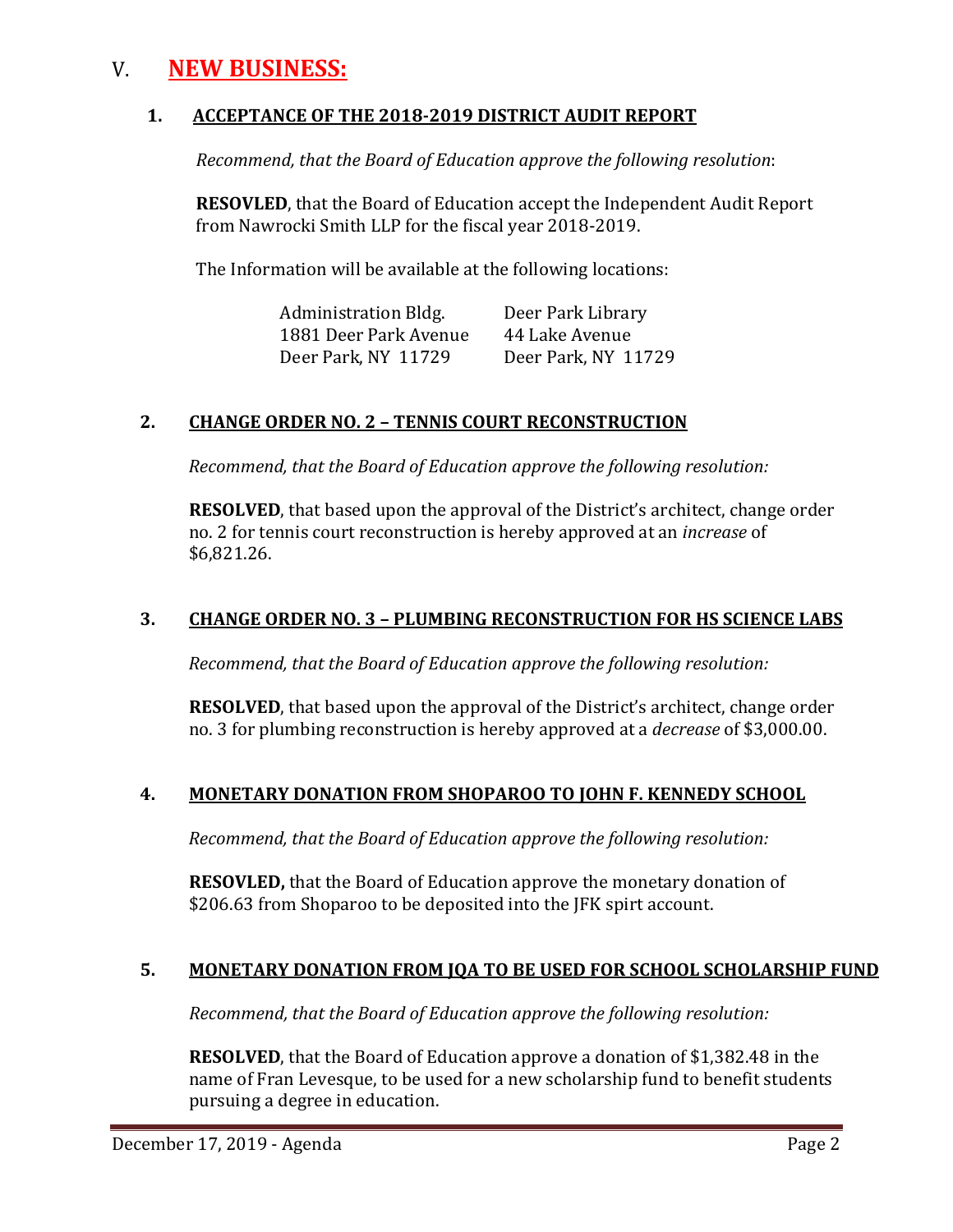# V. **NEW BUSINESS:**

### **1. ACCEPTANCE OF THE 2018-2019 DISTRICT AUDIT REPORT**

*Recommend, that the Board of Education approve the following resolution*:

**RESOVLED**, that the Board of Education accept the Independent Audit Report from Nawrocki Smith LLP for the fiscal year 2018-2019.

The Information will be available at the following locations:

| Administration Bldg.  | Deer Park Library   |
|-----------------------|---------------------|
| 1881 Deer Park Avenue | 44 Lake Avenue      |
| Deer Park, NY 11729   | Deer Park, NY 11729 |

## **2. CHANGE ORDER NO. 2 – TENNIS COURT RECONSTRUCTION**

 *Recommend, that the Board of Education approve the following resolution:*

**RESOLVED**, that based upon the approval of the District's architect, change order no. 2 for tennis court reconstruction is hereby approved at an *increase* of \$6,821.26.

## **3. CHANGE ORDER NO. 3 – PLUMBING RECONSTRUCTION FOR HS SCIENCE LABS**

 *Recommend, that the Board of Education approve the following resolution:*

**RESOLVED**, that based upon the approval of the District's architect, change order no. 3 for plumbing reconstruction is hereby approved at a *decrease* of \$3,000.00.

#### **4. MONETARY DONATION FROM SHOPAROO TO JOHN F. KENNEDY SCHOOL**

 *Recommend, that the Board of Education approve the following resolution:*

**RESOVLED,** that the Board of Education approve the monetary donation of \$206.63 from Shoparoo to be deposited into the JFK spirt account.

## **5. MONETARY DONATION FROM JQA TO BE USED FOR SCHOOL SCHOLARSHIP FUND**

*Recommend, that the Board of Education approve the following resolution:*

**RESOLVED**, that the Board of Education approve a donation of \$1,382.48 in the name of Fran Levesque, to be used for a new scholarship fund to benefit students pursuing a degree in education.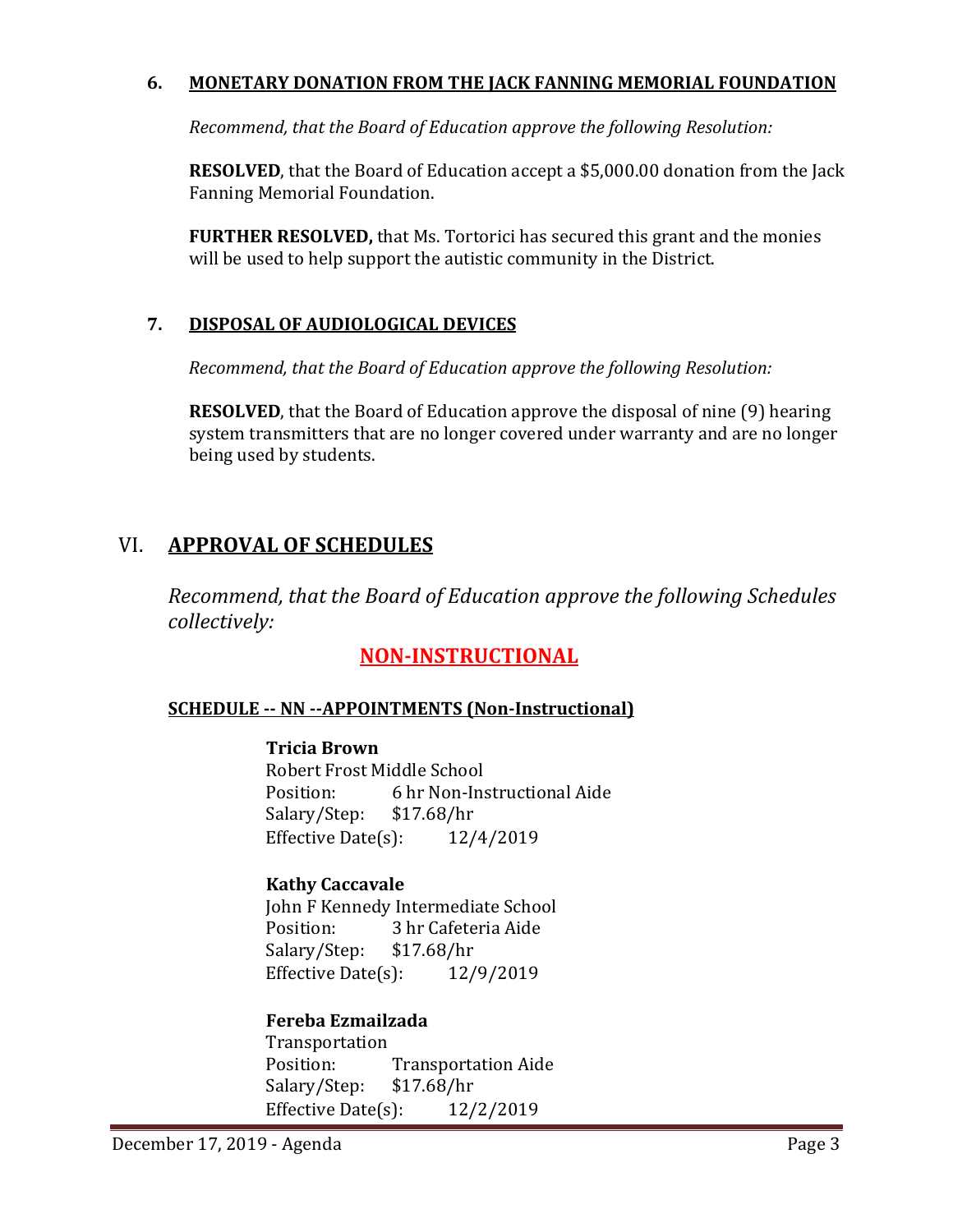## **6. MONETARY DONATION FROM THE JACK FANNING MEMORIAL FOUNDATION**

*Recommend, that the Board of Education approve the following Resolution:*

**RESOLVED**, that the Board of Education accept a \$5,000.00 donation from the Jack Fanning Memorial Foundation.

**FURTHER RESOLVED,** that Ms. Tortorici has secured this grant and the monies will be used to help support the autistic community in the District.

## **7. DISPOSAL OF AUDIOLOGICAL DEVICES**

 *Recommend, that the Board of Education approve the following Resolution:*

**RESOLVED**, that the Board of Education approve the disposal of nine (9) hearing system transmitters that are no longer covered under warranty and are no longer being used by students.

# VI. **APPROVAL OF SCHEDULES**

*Recommend, that the Board of Education approve the following Schedules collectively:*

# **NON-INSTRUCTIONAL**

#### **SCHEDULE -- NN --APPOINTMENTS (Non-Instructional)**

**Tricia Brown** Robert Frost Middle School<br>Position: 6 hr Non-Ins 6 hr Non-Instructional Aide<br>\$17.68/hr Salary/Step: \$17.68/hr<br>Effective Date(s): 12/4/2019 Effective Date $(s)$ :

#### **Kathy Caccavale**

John F Kennedy Intermediate School<br>Position: 3 hr Cafeteria Aide 3 hr Cafeteria Aide<br>\$17.68/hr Salary/Step: \$17.68/hr<br>Effective Date(s): 12/9/2019 Effective Date $(s)$ :

## **Fereba Ezmailzada**

Transportation<br>Position: Transportation Aide<br>\$17.68/hr Salary/Step: \$17.68/hr<br>Effective Date(s): 12/2/2019 Effective Date $(s)$ :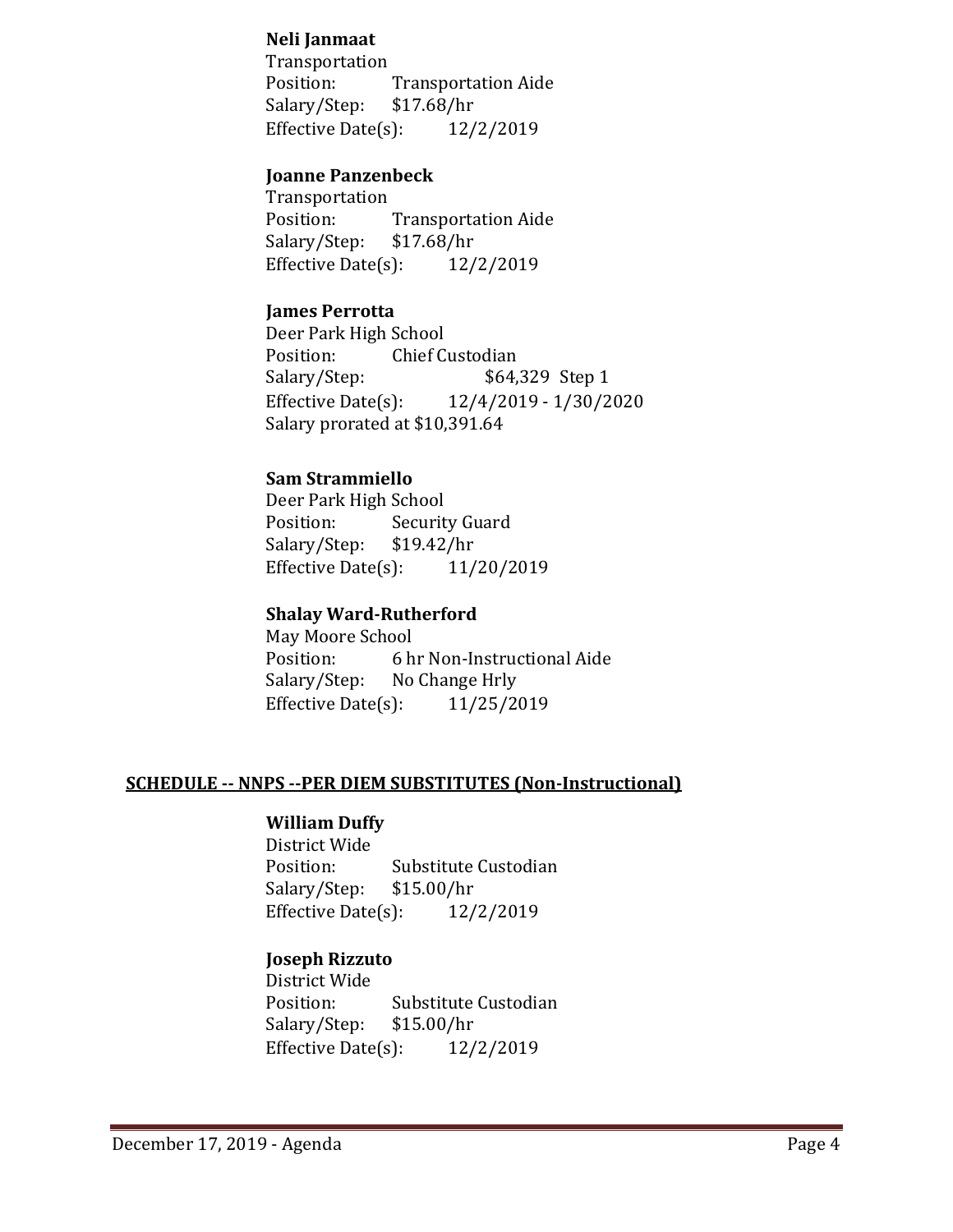#### **Neli Janmaat**

Transportation<br>Position: Transportation Aide<br>\$17.68/hr Salary/Step: \$17.68/hr<br>Effective Date(s): 12/2/2019 Effective Date $(s)$ :

#### **Joanne Panzenbeck**

Transportation<br>Position: Transportation Aide<br>\$17.68/hr Salary/Step: \$17.68/hr<br>Effective Date(s): 12/2/2019 Effective Date $(s)$ :

#### **James Perrotta**

Deer Park High School<br>Position: Chief C Position: Chief Custodian<br>Salary/Step: \$64, \$64,329 Step 1 Effective Date(s): 12/4/2019 - 1/30/2020 Salary prorated at \$10,391.64

#### **Sam Strammiello**

Deer Park High School<br>Position: Securit Security Guard<br>\$19.42/hr Salary/Step: Effective Date(s): 11/20/2019

# **Shalay Ward-Rutherford**

May Moore School<br>Position: 6 h Position: 6 hr Non-Instructional Aide<br>Salary/Step: No Change Hrly No Change Hrly<br>(3): 11/25/2019 Effective Date $(s)$ :

#### **SCHEDULE -- NNPS --PER DIEM SUBSTITUTES (Non-Instructional)**

### **William Duffy**

District Wide Substitute Custodian<br>\$15.00/hr Salary/Step: Effective Date(s): 12/2/2019

### **Joseph Rizzuto**

District Wide Substitute Custodian<br>\$15.00/hr Salary/Step: Effective Date(s): 12/2/2019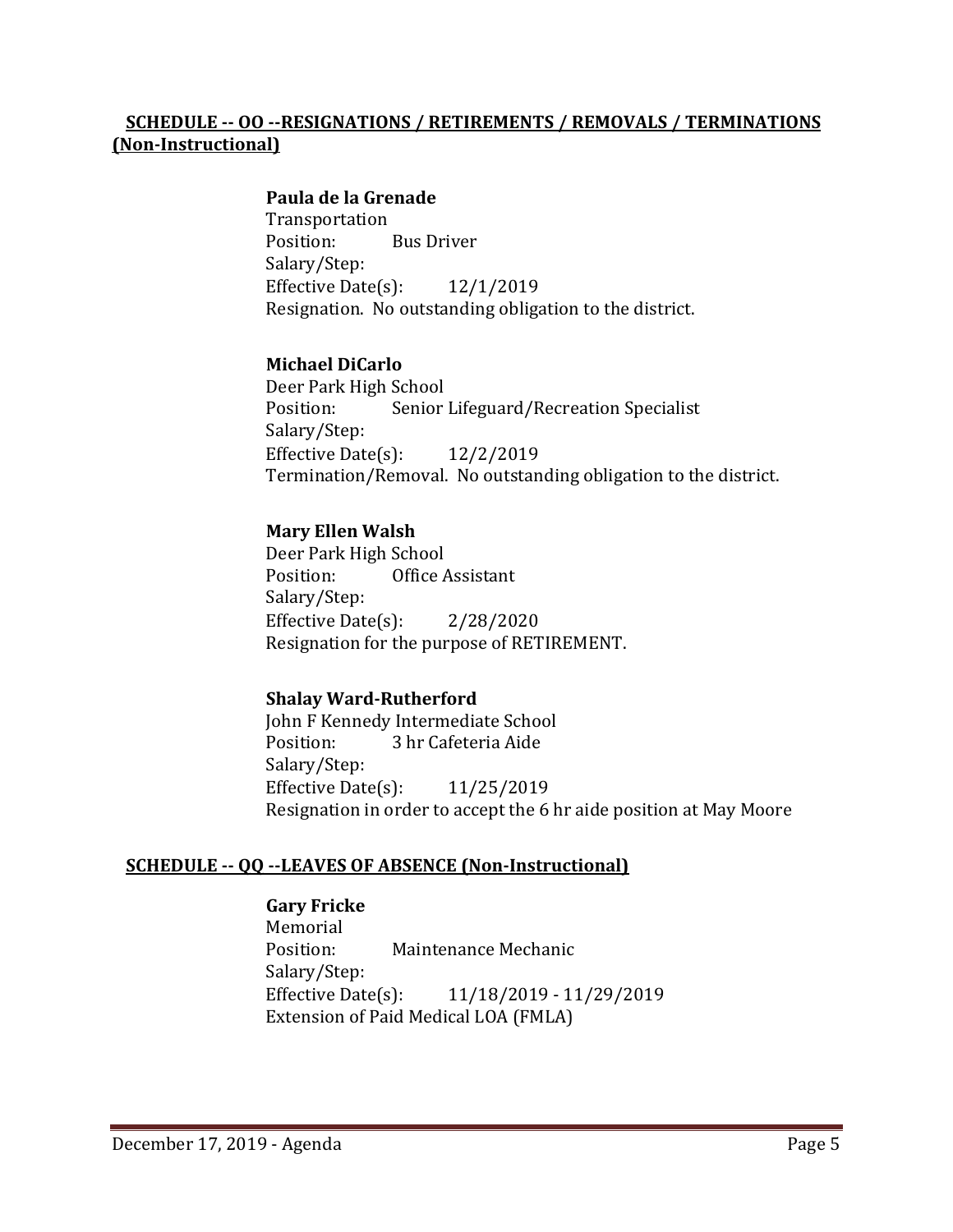## **SCHEDULE -- OO --RESIGNATIONS / RETIREMENTS / REMOVALS / TERMINATIONS (Non-Instructional)**

#### **Paula de la Grenade**

Transportation<br>Position: Bus Driver Salary/Step: Effective Date(s): 12/1/2019 Resignation. No outstanding obligation to the district.

#### **Michael DiCarlo**

Deer Park High School Senior Lifeguard/Recreation Specialist Salary/Step: Effective Date(s): 12/2/2019 Termination/Removal. No outstanding obligation to the district.

#### **Mary Ellen Walsh**

Deer Park High School<br>Position: Office / Office Assistant Salary/Step: Effective Date $(s)$ : 2/28/2020 Resignation for the purpose of RETIREMENT.

#### **Shalay Ward-Rutherford**

John F Kennedy Intermediate School<br>Position: 3 hr Cafeteria Aide 3 hr Cafeteria Aide Salary/Step: Effective Date(s): 11/25/2019 Resignation in order to accept the 6 hr aide position at May Moore

#### **SCHEDULE -- QQ --LEAVES OF ABSENCE (Non-Instructional)**

#### **Gary Fricke**

Memorial<br>Position: Maintenance Mechanic Salary/Step: Effective Date(s): 11/18/2019 - 11/29/2019 Extension of Paid Medical LOA (FMLA)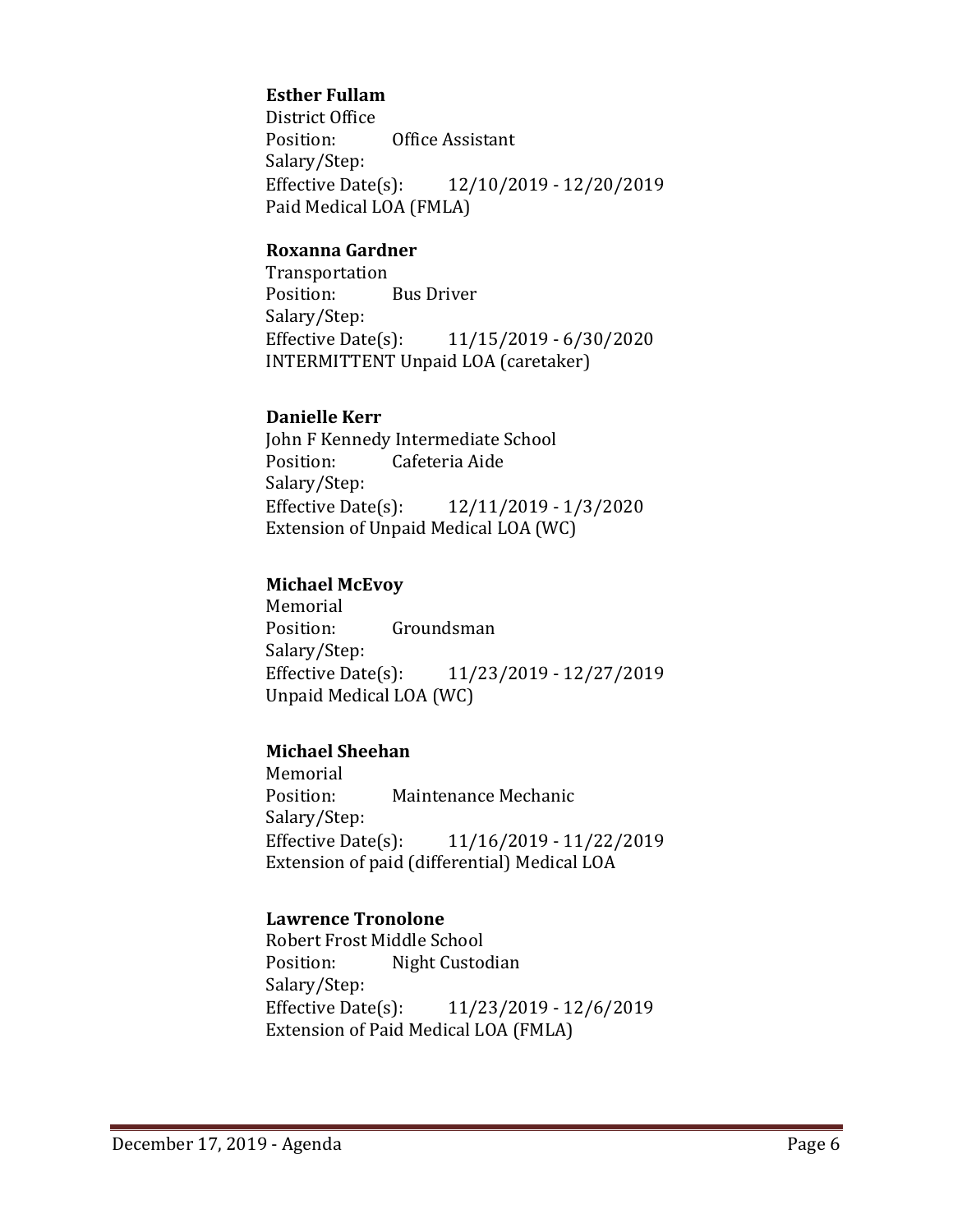## **Esther Fullam**

District Office<br>Position: Office Assistant Salary/Step:<br>Effective Date(s): Effective Date(s): 12/10/2019 - 12/20/2019 Paid Medical LOA (FMLA)

#### **Roxanna Gardner**

Transportation<br>Position: **Bus Driver** Salary/Step:<br>Effective Date(s): Effective Date(s): 11/15/2019 - 6/30/2020 INTERMITTENT Unpaid LOA (caretaker)

## **Danielle Kerr**

John F Kennedy Intermediate School<br>Position: Cafeteria Aide Cafeteria Aide Salary/Step:<br>Effective Date(s): Effective Date(s): 12/11/2019 - 1/3/2020 Extension of Unpaid Medical LOA (WC)

## **Michael McEvoy**

Memorial<br>Position: Groundsman Salary/Step:<br>Effective Date(s): Effective Date(s): 11/23/2019 - 12/27/2019 Unpaid Medical LOA (WC)

## **Michael Sheehan**

Memorial<br>Position: Maintenance Mechanic Salary/Step:<br>Effective Date(s): Effective Date(s): 11/16/2019 - 11/22/2019 Extension of paid (differential) Medical LOA

#### **Lawrence Tronolone**

Robert Frost Middle School<br>Position: Night Custoo Night Custodian Salary/Step:<br>Effective Date(s): Effective Date(s): 11/23/2019 - 12/6/2019 Extension of Paid Medical LOA (FMLA)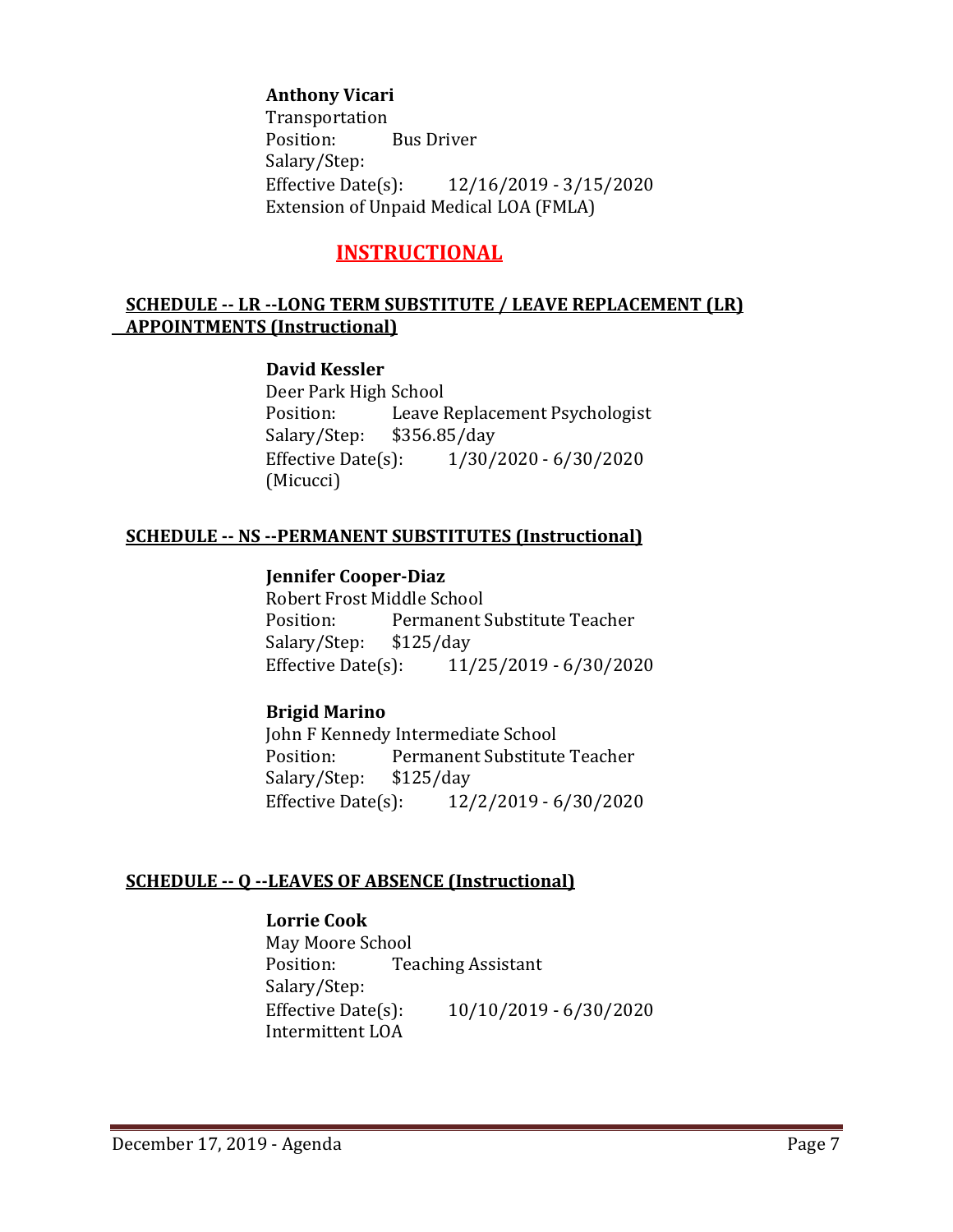### **Anthony Vicari**

Transportation<br>Position: **Bus Driver** Salary/Step:<br>Effective Date(s): Effective Date(s): 12/16/2019 - 3/15/2020 Extension of Unpaid Medical LOA (FMLA)

# **INSTRUCTIONAL**

#### **SCHEDULE -- LR --LONG TERM SUBSTITUTE / LEAVE REPLACEMENT (LR) APPOINTMENTS (Instructional)**

#### **David Kessler**

Deer Park High School<br>Position: Leave I Leave Replacement Psychologist<br>\$356.85/day Salary/Step: \$3<br>Effective Date(s): Effective Date(s): 1/30/2020 - 6/30/2020 (Micucci)

#### **SCHEDULE -- NS --PERMANENT SUBSTITUTES (Instructional)**

#### **Jennifer Cooper-Diaz**

Robert Frost Middle School<br>Position: Permanent! Permanent Substitute Teacher<br>\$125/day Salary/Step: Effective Date(s): 11/25/2019 - 6/30/2020

#### **Brigid Marino**

John F Kennedy Intermediate School Permanent Substitute Teacher<br>\$125/day Salary/Step: \$1<br>Effective Date(s): Effective Date(s): 12/2/2019 - 6/30/2020

#### **SCHEDULE -- Q --LEAVES OF ABSENCE (Instructional)**

#### **Lorrie Cook**

May Moore School<br>Position: Tea Teaching Assistant Salary/Step:<br>Effective Date(s): Effective Date(s): 10/10/2019 - 6/30/2020 Intermittent LOA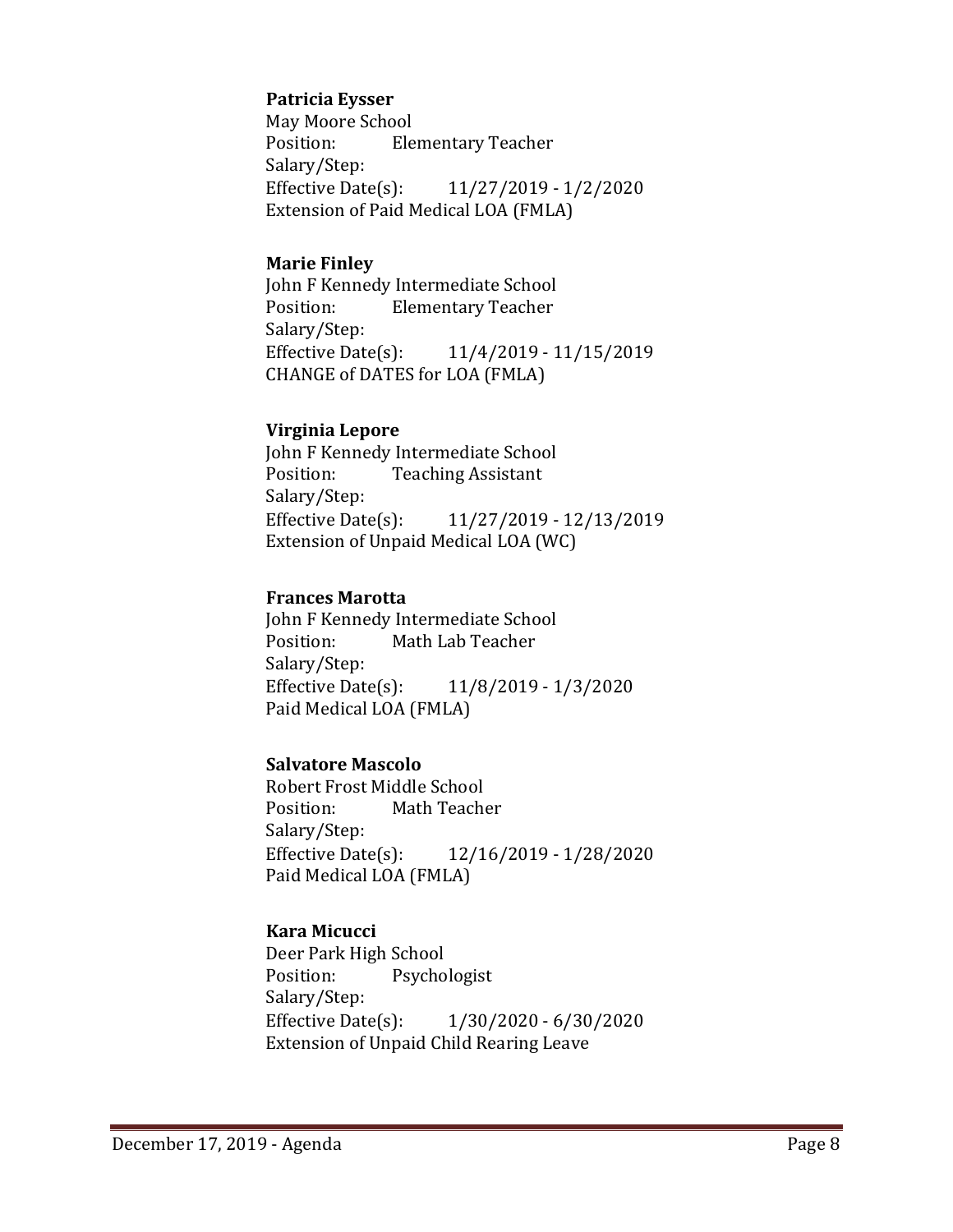### **Patricia Eysser**

May Moore School<br>Position: Ele **Elementary Teacher** Salary/Step:<br>Effective Date(s): Effective Date(s): 11/27/2019 - 1/2/2020 Extension of Paid Medical LOA (FMLA)

#### **Marie Finley**

John F Kennedy Intermediate School<br>Position: Flementary Teacher **Elementary Teacher** Salary/Step:<br>Effective Date(s): Effective Date(s): 11/4/2019 - 11/15/2019 CHANGE of DATES for LOA (FMLA)

#### **Virginia Lepore**

John F Kennedy Intermediate School<br>Position: Teaching Assistant **Teaching Assistant** Salary/Step: Effective Date(s): 11/27/2019 - 12/13/2019 Extension of Unpaid Medical LOA (WC)

#### **Frances Marotta**

John F Kennedy Intermediate School<br>Position: Math Lab Teacher Math Lab Teacher Salary/Step:<br>Effective Date(s): Effective Date(s): 11/8/2019 - 1/3/2020 Paid Medical LOA (FMLA)

#### **Salvatore Mascolo**

Robert Frost Middle School<br>Position: Math Teach Math Teacher Salary/Step:<br>Effective Date(s): Effective Date(s): 12/16/2019 - 1/28/2020 Paid Medical LOA (FMLA)

#### **Kara Micucci**

Deer Park High School<br>Position: Psycho Psychologist Salary/Step:<br>Effective Date(s):  $1/30/2020 - 6/30/2020$ Extension of Unpaid Child Rearing Leave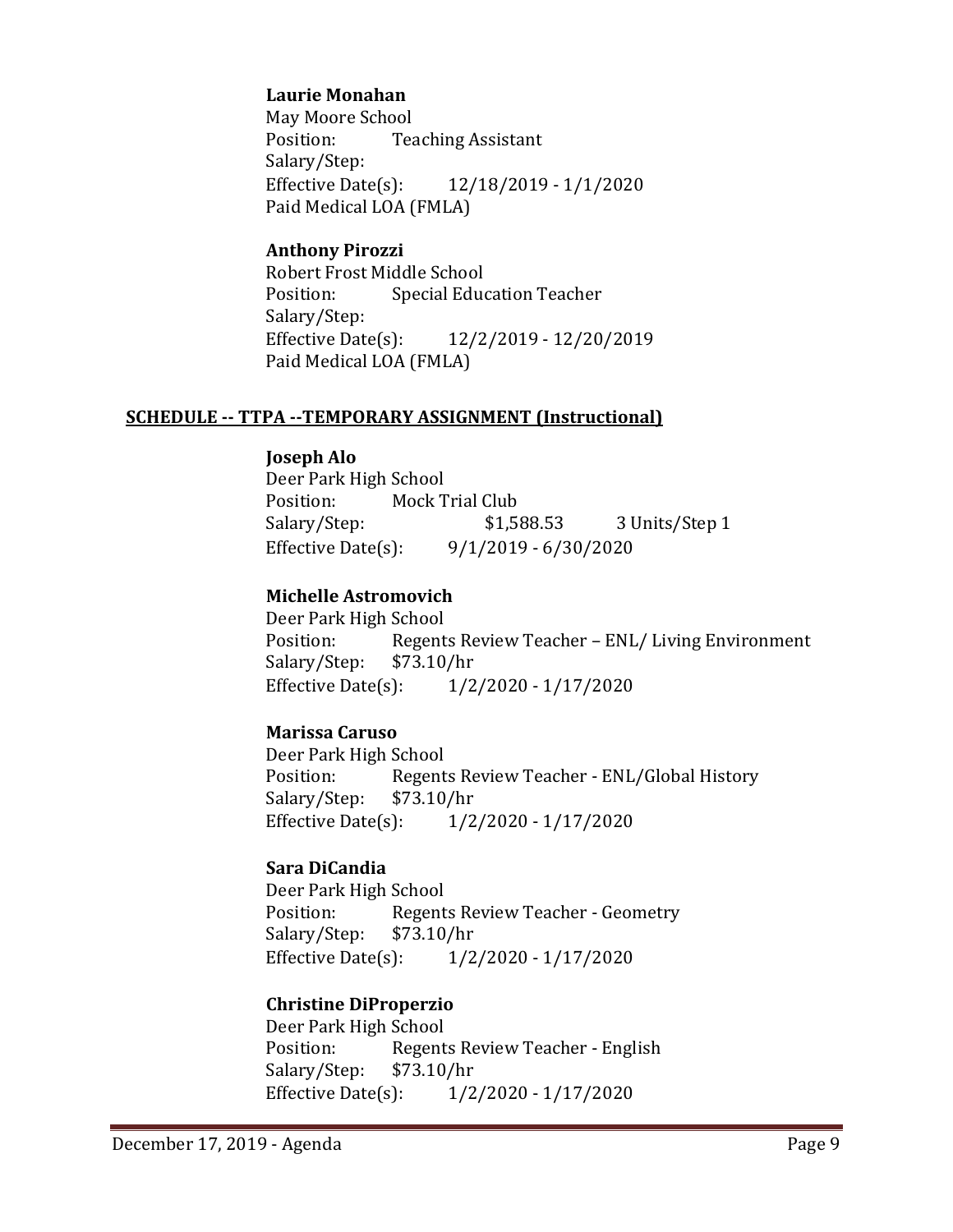## **Laurie Monahan**

May Moore School<br>Position: Tea **Teaching Assistant** Salary/Step:<br>Effective Date(s): Effective Date(s): 12/18/2019 - 1/1/2020 Paid Medical LOA (FMLA)

### **Anthony Pirozzi**

Robert Frost Middle School **Special Education Teacher** Salary/Step:<br>Effective Date(s): Effective Date(s): 12/2/2019 - 12/20/2019 Paid Medical LOA (FMLA)

## **SCHEDULE -- TTPA --TEMPORARY ASSIGNMENT (Instructional)**

## **Joseph Alo**

Deer Park High School<br>Position: Mock T Position: Mock Trial Club<br>Salary/Step: \$1,588.53 3 Units/Step 1 Effective Date(s): 9/1/2019 - 6/30/2020

## **Michelle Astromovich**

Deer Park High School<br>Position: Regent Regents Review Teacher – ENL/ Living Environment<br>\$73.10/hr Salary/Step: \$7<br>Effective Date(s):  $1/2/2020 - 1/17/2020$ 

## **Marissa Caruso**

Deer Park High School Position: Regents Review Teacher - ENL/Global History<br>Salary/Step: \$73.10/hr Salary/Step: \$7.<br>Effective Date(s):  $1/2/2020 - 1/17/2020$ 

## **Sara DiCandia**

Deer Park High School<br>Position: Regent Regents Review Teacher - Geometry<br>\$73.10/hr Salary/Step: Effective Date(s): 1/2/2020 - 1/17/2020

## **Christine DiProperzio**

Deer Park High School<br>Position: Regent Regents Review Teacher - English<br>\$73.10/hr Salary/Step: Effective Date(s): 1/2/2020 - 1/17/2020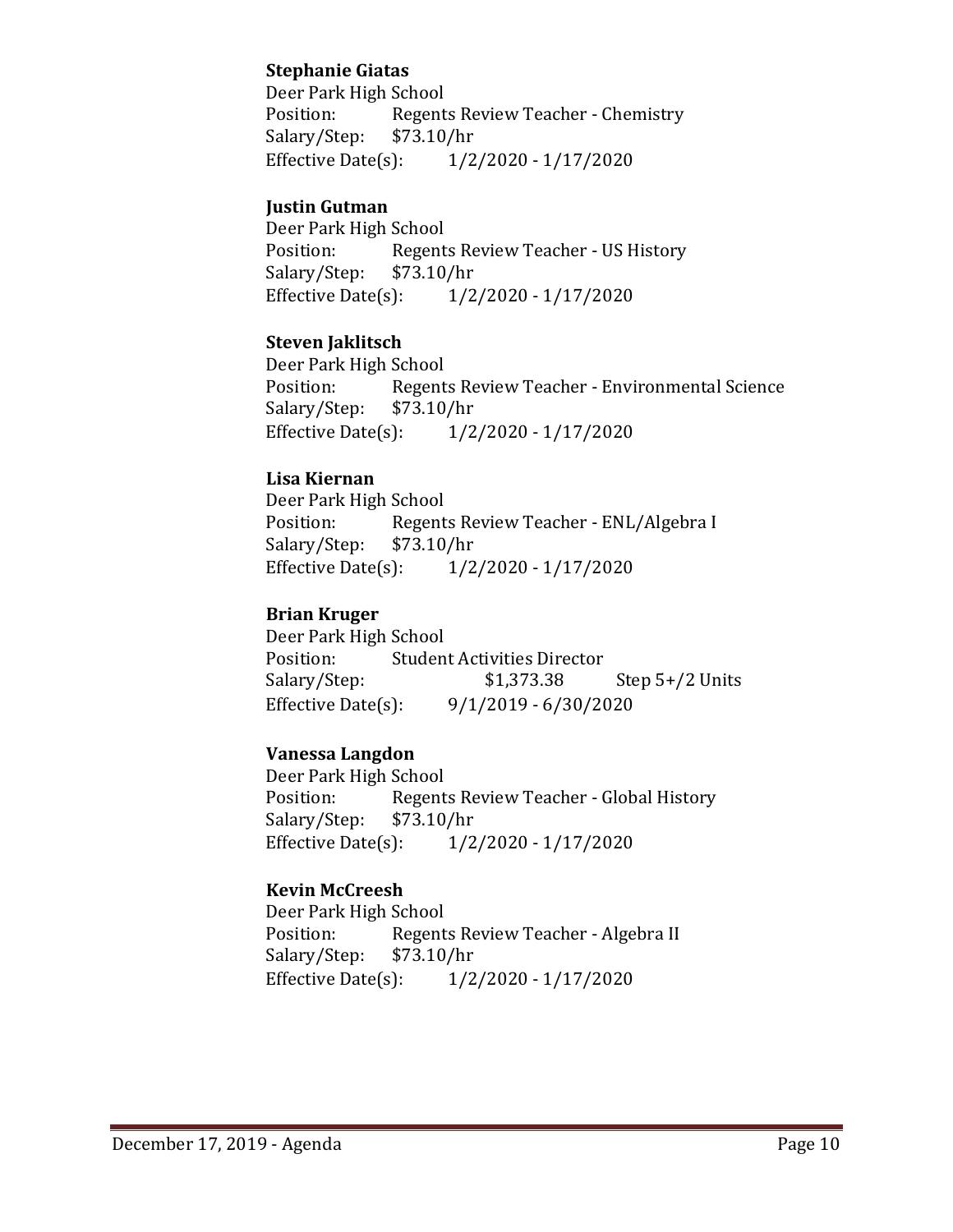## **Stephanie Giatas**

Deer Park High School Regents Review Teacher - Chemistry<br>\$73.10/hr Salary/Step: \$7.<br>Effective Date(s):  $1/2/2020 - 1/17/2020$ 

### **Justin Gutman**

Deer Park High School Regents Review Teacher - US History<br>\$73.10/hr Salary/Step: \$7<br>Effective Date(s):  $1/2/2020 - 1/17/2020$ 

## **Steven Jaklitsch**

Deer Park High School<br>Position: Regent Regents Review Teacher - Environmental Science<br>\$73.10/hr Salary/Step: \$7<br>Effective Date(s):  $1/2/2020 - 1/17/2020$ 

## **Lisa Kiernan**

Deer Park High School<br>Position: Regent Regents Review Teacher - ENL/Algebra I<br>\$73.10/hr Salary/Step: \$7<br>Effective Date(s):  $1/2/2020 - 1/17/2020$ 

## **Brian Kruger**

Deer Park High School<br>Position: Studen Position: Student Activities Director<br>Salary/Step: \$1,373.38 Step  $5+/2$  Units Effective Date(s): 9/1/2019 - 6/30/2020

## **Vanessa Langdon**

Deer Park High School Regents Review Teacher - Global History<br>\$73.10/hr Salary/Step: \$7<br>Effective Date(s):  $1/2/2020 - 1/17/2020$ 

## **Kevin McCreesh**

Deer Park High School<br>Position: Regent Regents Review Teacher - Algebra II<br>\$73.10/hr Salary/Step: \$7.<br>Effective Date(s):  $1/2/2020 - 1/17/2020$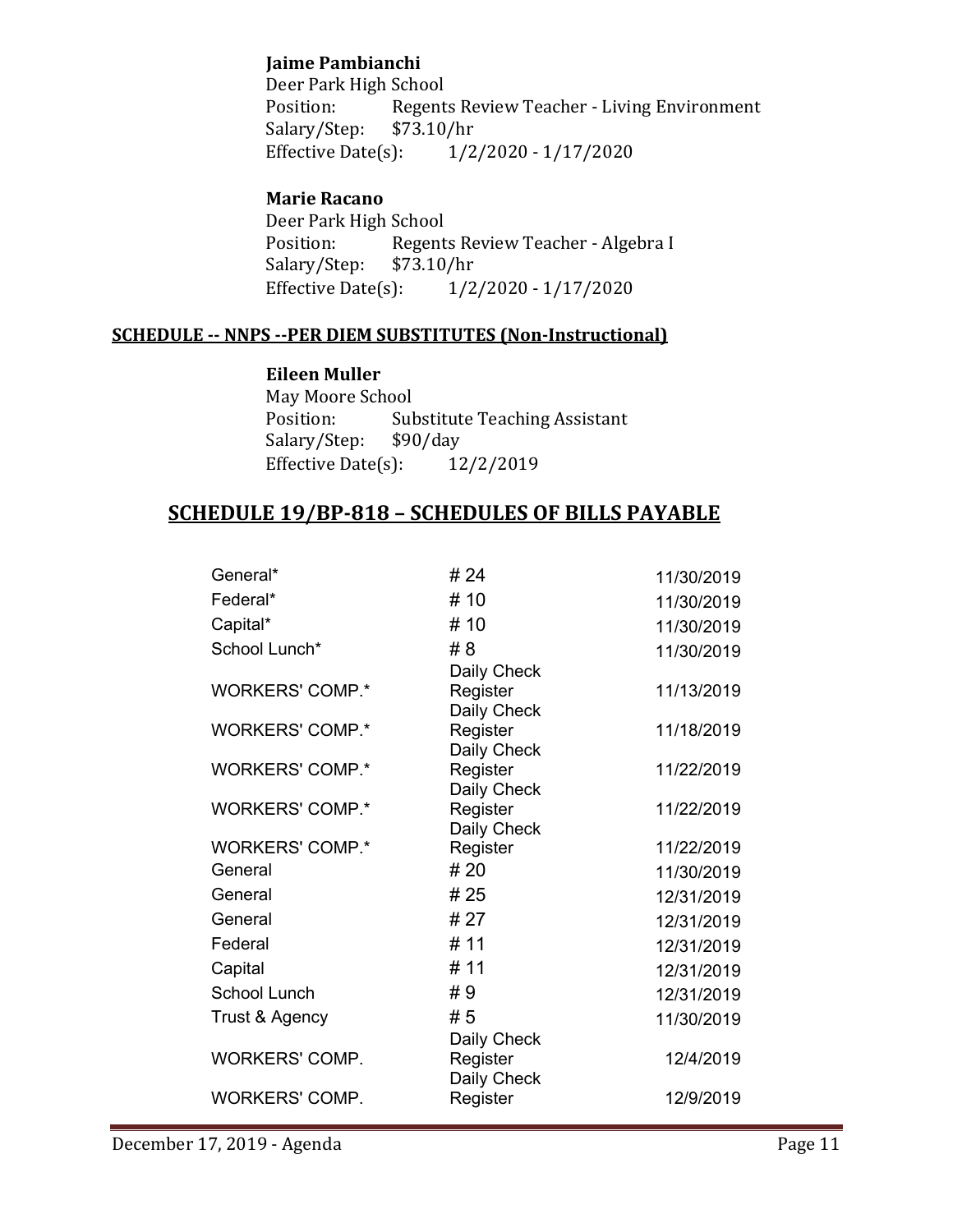## **Jaime Pambianchi**

Deer Park High School<br>Position: Regent Regents Review Teacher - Living Environment<br>\$73.10/hr Salary/Step: \$7.<br>Effective Date(s):  $1/2/2020 - 1/17/2020$ 

## **Marie Racano**

Deer Park High School<br>Position: Regent Regents Review Teacher - Algebra I<br>\$73.10/hr Salary/Step: \$7.<br>Effective Date(s):  $1/2/2020 - 1/17/2020$ 

#### **SCHEDULE -- NNPS --PER DIEM SUBSTITUTES (Non-Instructional)**

#### **Eileen Muller**

May Moore School<br>Position: Sub Substitute Teaching Assistant<br>\$90/day Salary/Step: \$90/day<br>Effective Date(s): 12/2/2019 Effective Date $(s)$ :

## **SCHEDULE 19/BP-818 – SCHEDULES OF BILLS PAYABLE**

| General*               | # 24                    | 11/30/2019 |
|------------------------|-------------------------|------------|
| Federal*               | # 10                    | 11/30/2019 |
| Capital*               | # 10                    | 11/30/2019 |
| School Lunch*          | # 8                     | 11/30/2019 |
|                        | Daily Check             |            |
| <b>WORKERS' COMP.*</b> | Register                | 11/13/2019 |
|                        | Daily Check             |            |
| <b>WORKERS' COMP.*</b> | Register<br>Daily Check | 11/18/2019 |
| <b>WORKERS' COMP.*</b> | Register                | 11/22/2019 |
|                        | Daily Check             |            |
| <b>WORKERS' COMP.*</b> | Register                | 11/22/2019 |
|                        | Daily Check             |            |
| <b>WORKERS' COMP.*</b> | Register                | 11/22/2019 |
| General                | # 20                    | 11/30/2019 |
| General                | # 25                    | 12/31/2019 |
| General                | # 27                    | 12/31/2019 |
| Federal                | # 11                    | 12/31/2019 |
| Capital                | # 11                    | 12/31/2019 |
| School Lunch           | #9                      | 12/31/2019 |
| Trust & Agency         | # 5                     | 11/30/2019 |
|                        | Daily Check             |            |
| <b>WORKERS' COMP.</b>  | Register                | 12/4/2019  |
|                        | Daily Check             |            |
| <b>WORKERS' COMP.</b>  | Register                | 12/9/2019  |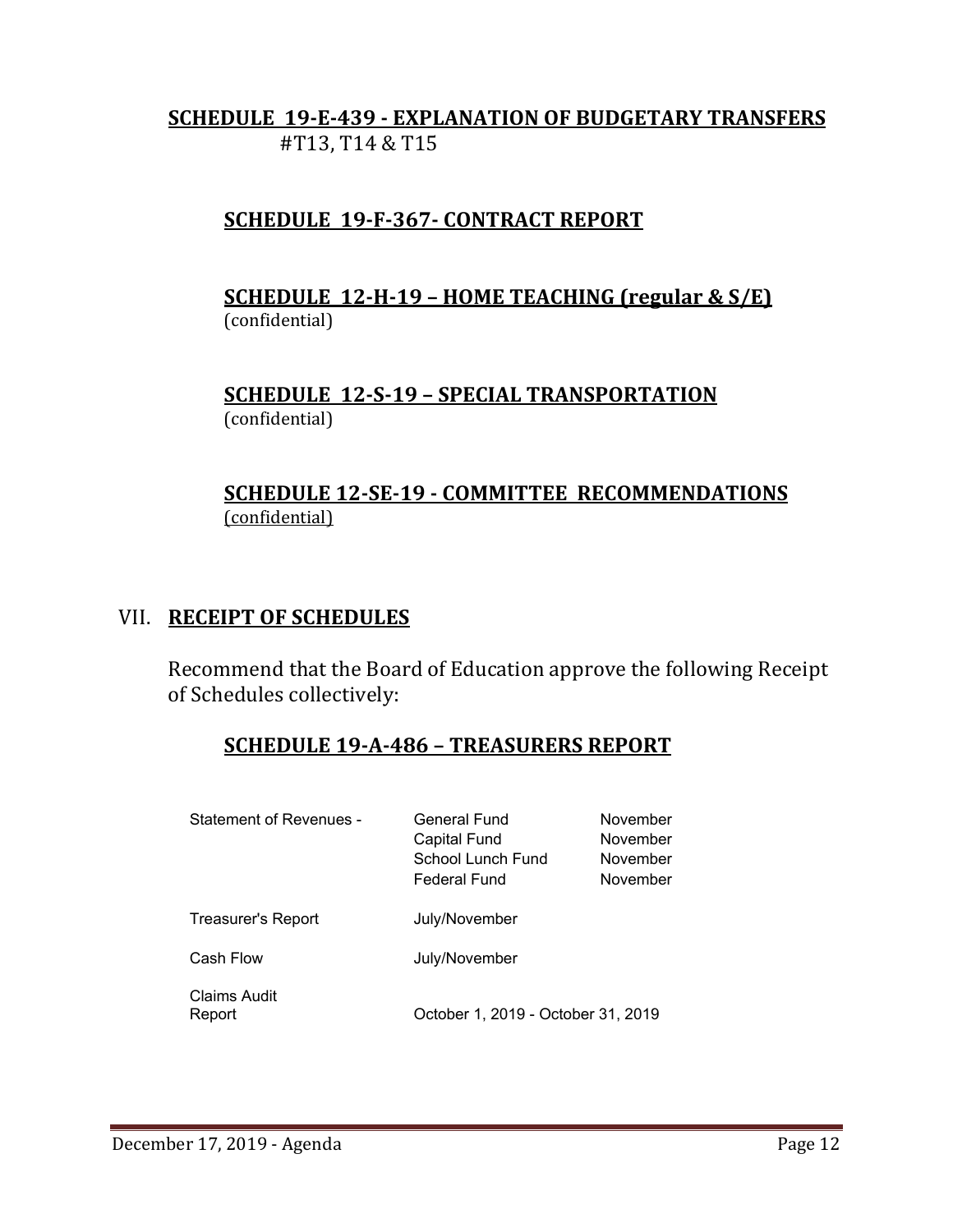# **SCHEDULE 19-E-439 - EXPLANATION OF BUDGETARY TRANSFERS** #T13, T14 & T15

# **SCHEDULE 19-F-367- CONTRACT REPORT**

# **SCHEDULE 12-H-19 – HOME TEACHING (regular & S/E)**  (confidential)

**SCHEDULE 12-S-19 – SPECIAL TRANSPORTATION**  (confidential)

# **SCHEDULE 12-SE-19 - COMMITTEE RECOMMENDATIONS** (confidential)

# VII. **RECEIPT OF SCHEDULES**

Recommend that the Board of Education approve the following Receipt of Schedules collectively:

# **SCHEDULE 19-A-486 – TREASURERS REPORT**

| Statement of Revenues -   | General Fund<br>Capital Fund<br>School Lunch Fund<br><b>Federal Fund</b> | November<br>November<br>November<br>November |
|---------------------------|--------------------------------------------------------------------------|----------------------------------------------|
| <b>Treasurer's Report</b> | July/November                                                            |                                              |
| Cash Flow                 | July/November                                                            |                                              |
| Claims Audit<br>Report    | October 1, 2019 - October 31, 2019                                       |                                              |